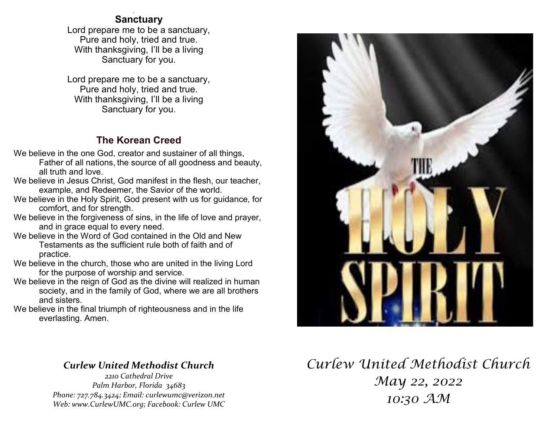## . **Sanctuary**

Lord prepare me to be a sanctuary, Pure and holy, tried and true. With thanksgiving, I'll be a living Sanctuary for you.

Lord prepare me to be a sanctuary, Pure and holy, tried and true. With thanksgiving, I'll be a living Sanctuary for you.

#### **The Korean Creed**

- We believe in the one God, creator and sustainer of all things, Father of all nations, the source of all goodness and beauty, all truth and love.
- We believe in Jesus Christ, God manifest in the flesh, our teacher, example, and Redeemer, the Savior of the world.
- We believe in the Holy Spirit, God present with us for guidance, for comfort, and for strength.
- We believe in the forgiveness of sins, in the life of love and prayer, and in grace equal to every need.
- We believe in the Word of God contained in the Old and New Testaments as the sufficient rule both of faith and of practice.
- We believe in the church, those who are united in the living Lord for the purpose of worship and service.
- We believe in the reign of God as the divine will realized in human society, and in the family of God, where we are all brothers and sisters.
- We believe in the final triumph of righteousness and in the life everlasting. Amen.

## *Curlew United Methodist Church*

*2210 Cathedral Drive Palm Harbor, Florida 34683 Phone: 727.784.3424; Email: curlewumc@verizon.net Web: www.CurlewUMC.org; Facebook: Curlew UMC*



# *Curlew United Methodist Church May 22, 2022 10:30 AM*